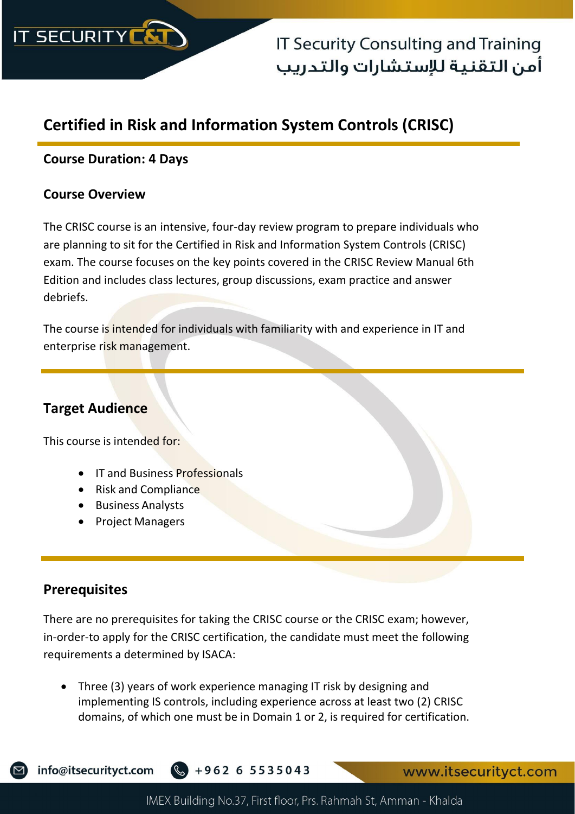

## **Certified in Risk and Information System Controls (CRISC)**

### **Course Duration: 4 Days**

#### **Course Overview**

The CRISC course is an intensive, four-day review program to prepare individuals who are planning to sit for the Certified in Risk and Information System Controls (CRISC) exam. The course focuses on the key points covered in the CRISC Review Manual 6th Edition and includes class lectures, group discussions, exam practice and answer debriefs.

The course is intended for individuals with familiarity with and experience in IT and enterprise risk management.

## **Target Audience**

This course is intended for:

- **IT and Business Professionals**
- Risk and Compliance
- Business Analysts
- Project Managers

## **Prerequisites**

There are no prerequisites for taking the CRISC course or the CRISC exam; however, in-order-to apply for the CRISC certification, the candidate must meet the following requirements a determined by ISACA:

• Three (3) years of work experience managing IT risk by designing and implementing IS controls, including experience across at least two (2) CRISC domains, of which one must be in Domain 1 or 2, is required for certification.



info@itsecurityct.com +962 6 5535043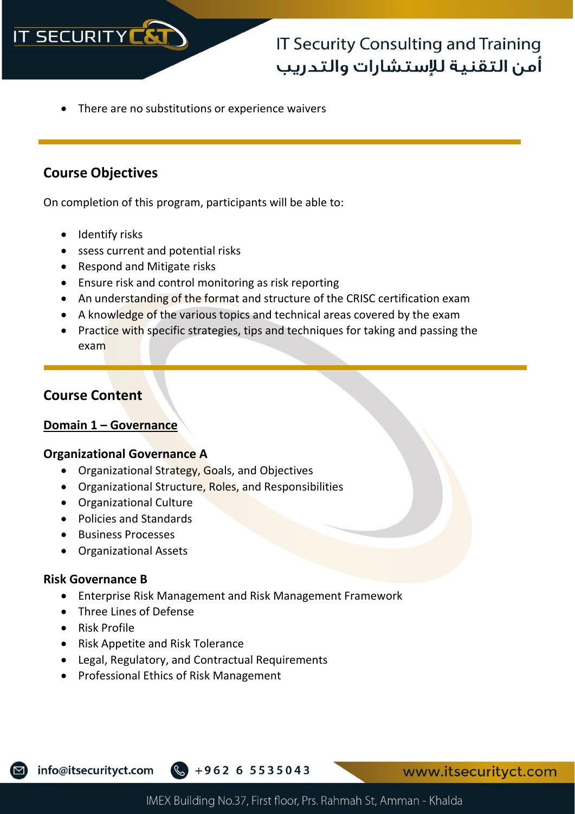

• There are no substitutions or experience waivers

## **Course Objectives**

On completion of this program, participants will be able to:

- Identify risks
- ssess current and potential risks
- Respond and Mitigate risks
- Ensure risk and control monitoring as risk reporting
- An understanding of the format and structure of the CRISC certification exam
- A knowledge of the various topics and technical areas covered by the exam
- Practice with specific strategies, tips and techniques for taking and passing the exam

## **Course Content**

#### **Domain 1 – Governance**

#### **Organizational Governance A**

- Organizational Strategy, Goals, and Objectives
- Organizational Structure, Roles, and Responsibilities
- Organizational Culture
- Policies and Standards
- Business Processes
- Organizational Assets

#### **Risk Governance B**

- Enterprise Risk Management and Risk Management Framework
- Three Lines of Defense
- Risk Profile
- Risk Appetite and Risk Tolerance
- Legal, Regulatory, and Contractual Requirements
- Professional Ethics of Risk Management

info@itsecurityct.com

 $\frac{1}{2} + 962655535043$ 

www.itsecurityct.com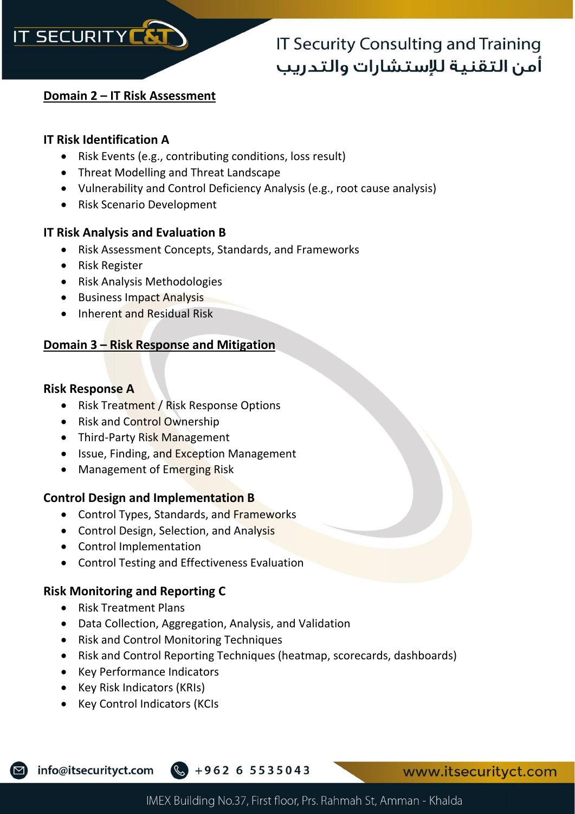

#### **Domain 2 – IT Risk Assessment**

#### **IT Risk Identification A**

- Risk Events (e.g., contributing conditions, loss result)
- Threat Modelling and Threat Landscape
- Vulnerability and Control Deficiency Analysis (e.g., root cause analysis)
- Risk Scenario Development

#### **IT Risk Analysis and Evaluation B**

- Risk Assessment Concepts, Standards, and Frameworks
- Risk Register
- Risk Analysis Methodologies
- Business Impact Analysis
- Inherent and Residual Risk

## **Domain 3 – Risk Response and Mitigation**

#### **Risk Response A**

- Risk Treatment / Risk Response Options
- Risk and Control Ownership
- Third-Party Risk Management
- Issue, Finding, and Exception Management
- Management of Emerging Risk

### **Control Design and Implementation B**

- Control Types, Standards, and Frameworks
- Control Design, Selection, and Analysis
- Control Implementation
- Control Testing and Effectiveness Evaluation

### **Risk Monitoring and Reporting C**

- Risk Treatment Plans
- Data Collection, Aggregation, Analysis, and Validation
- Risk and Control Monitoring Techniques
- Risk and Control Reporting Techniques (heatmap, scorecards, dashboards)
- Key Performance Indicators
- Key Risk Indicators (KRIs)
- Key Control Indicators (KCIs

info@itsecurityct.com

 $\frac{1}{2} + 962655535043$ 

www.itsecurityct.com